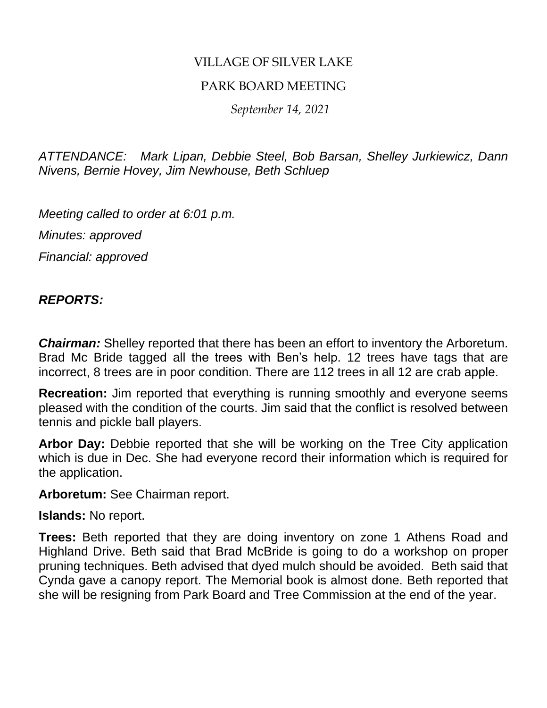# VILLAGE OF SILVER LAKE

### PARK BOARD MEETING

 *September 14, 2021*

*ATTENDANCE: Mark Lipan, Debbie Steel, Bob Barsan, Shelley Jurkiewicz, Dann Nivens, Bernie Hovey, Jim Newhouse, Beth Schluep*

*Meeting called to order at 6:01 p.m.*

*Minutes: approved*

*Financial: approved*

# *REPORTS:*

*Chairman:* Shelley reported that there has been an effort to inventory the Arboretum. Brad Mc Bride tagged all the trees with Ben's help. 12 trees have tags that are incorrect, 8 trees are in poor condition. There are 112 trees in all 12 are crab apple.

**Recreation:** Jim reported that everything is running smoothly and everyone seems pleased with the condition of the courts. Jim said that the conflict is resolved between tennis and pickle ball players.

**Arbor Day:** Debbie reported that she will be working on the Tree City application which is due in Dec. She had everyone record their information which is required for the application.

**Arboretum:** See Chairman report.

**Islands:** No report.

**Trees:** Beth reported that they are doing inventory on zone 1 Athens Road and Highland Drive. Beth said that Brad McBride is going to do a workshop on proper pruning techniques. Beth advised that dyed mulch should be avoided. Beth said that Cynda gave a canopy report. The Memorial book is almost done. Beth reported that she will be resigning from Park Board and Tree Commission at the end of the year.